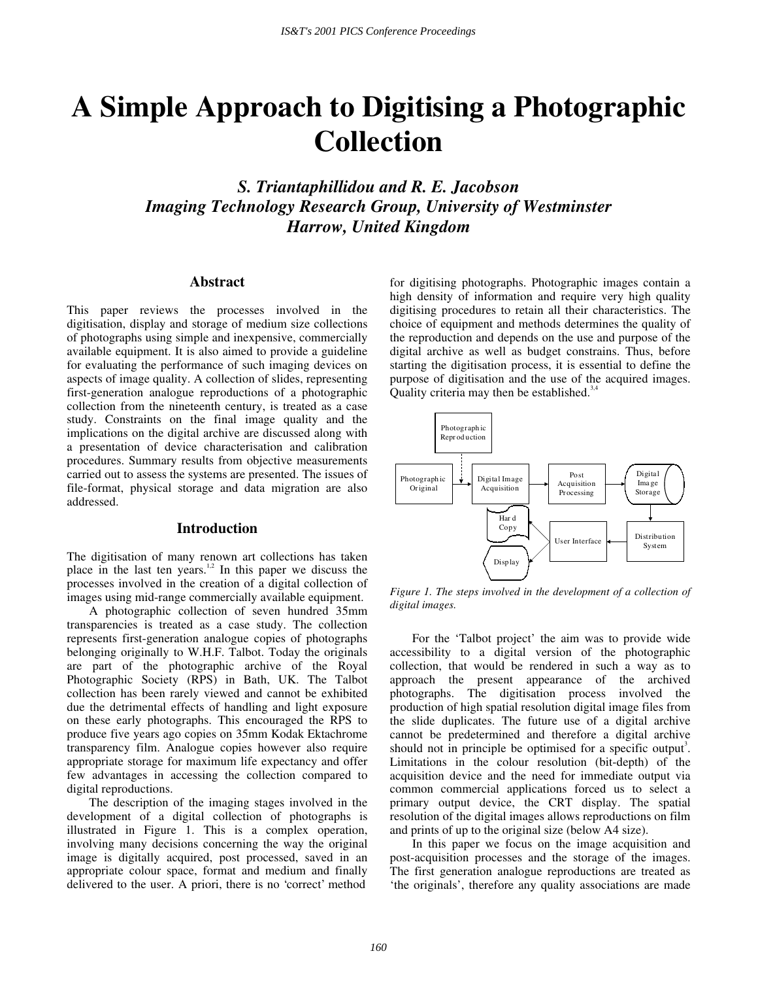# **A Simple Approach to Digitising a Photographic Collection**

*S. Triantaphillidou and R. E. Jacobson Imaging Technology Research Group, University of Westminster Harrow, United Kingdom* 

## **Abstract**

This paper reviews the processes involved in the digitisation, display and storage of medium size collections of photographs using simple and inexpensive, commercially available equipment. It is also aimed to provide a guideline for evaluating the performance of such imaging devices on aspects of image quality. A collection of slides, representing first-generation analogue reproductions of a photographic collection from the nineteenth century, is treated as a case study. Constraints on the final image quality and the implications on the digital archive are discussed along with a presentation of device characterisation and calibration procedures. Summary results from objective measurements carried out to assess the systems are presented. The issues of file-format, physical storage and data migration are also addressed.

# **Introduction**

The digitisation of many renown art collections has taken place in the last ten years. $1,2$  In this paper we discuss the processes involved in the creation of a digital collection of images using mid-range commercially available equipment.

 A photographic collection of seven hundred 35mm transparencies is treated as a case study. The collection represents first-generation analogue copies of photographs belonging originally to W.H.F. Talbot. Today the originals are part of the photographic archive of the Royal Photographic Society (RPS) in Bath, UK. The Talbot collection has been rarely viewed and cannot be exhibited due the detrimental effects of handling and light exposure on these early photographs. This encouraged the RPS to produce five years ago copies on 35mm Kodak Ektachrome transparency film. Analogue copies however also require appropriate storage for maximum life expectancy and offer few advantages in accessing the collection compared to digital reproductions.

 The description of the imaging stages involved in the development of a digital collection of photographs is illustrated in Figure 1. This is a complex operation, involving many decisions concerning the way the original image is digitally acquired, post processed, saved in an appropriate colour space, format and medium and finally delivered to the user. A priori, there is no 'correct' method

for digitising photographs. Photographic images contain a high density of information and require very high quality digitising procedures to retain all their characteristics. The choice of equipment and methods determines the quality of the reproduction and depends on the use and purpose of the digital archive as well as budget constrains. Thus, before starting the digitisation process, it is essential to define the purpose of digitisation and the use of the acquired images. Quality criteria may then be established. $3/4$ 



*Figure 1. The steps involved in the development of a collection of digital images.* 

 For the 'Talbot project' the aim was to provide wide accessibility to a digital version of the photographic collection, that would be rendered in such a way as to approach the present appearance of the archived photographs. The digitisation process involved the production of high spatial resolution digital image files from the slide duplicates. The future use of a digital archive cannot be predetermined and therefore a digital archive should not in principle be optimised for a specific output<sup>3</sup>. Limitations in the colour resolution (bit-depth) of the acquisition device and the need for immediate output via common commercial applications forced us to select a primary output device, the CRT display. The spatial resolution of the digital images allows reproductions on film and prints of up to the original size (below A4 size).

 In this paper we focus on the image acquisition and post-acquisition processes and the storage of the images. The first generation analogue reproductions are treated as 'the originals', therefore any quality associations are made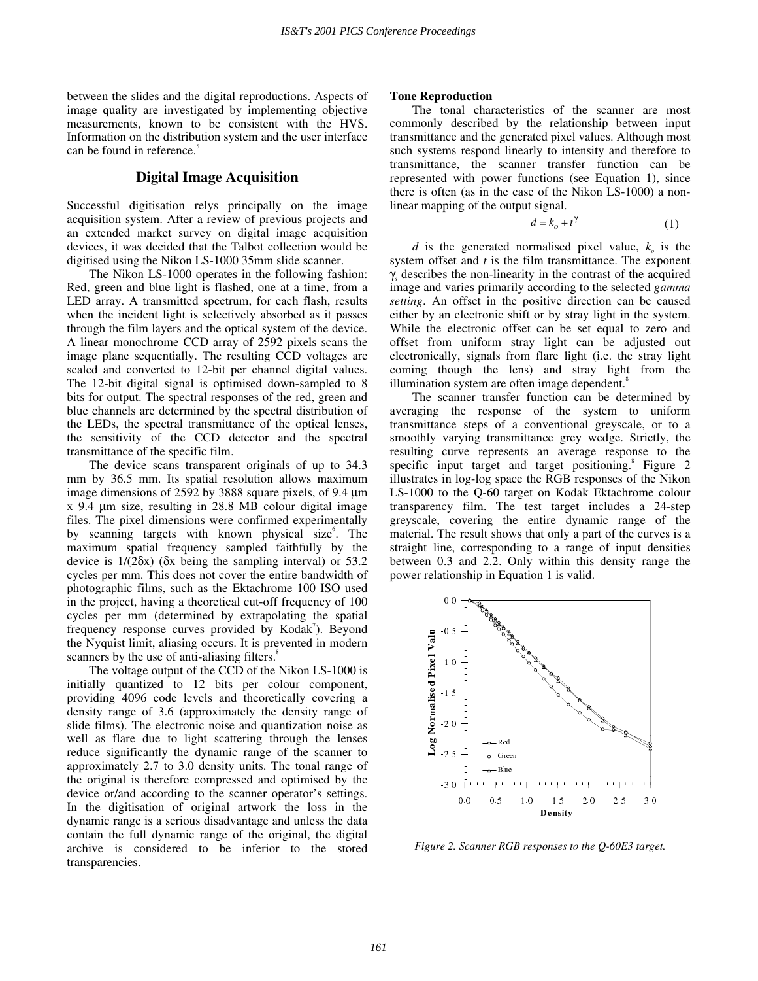between the slides and the digital reproductions. Aspects of image quality are investigated by implementing objective measurements, known to be consistent with the HVS. Information on the distribution system and the user interface can be found in reference.<sup>5</sup>

# **Digital Image Acquisition**

Successful digitisation relys principally on the image acquisition system. After a review of previous projects and an extended market survey on digital image acquisition devices, it was decided that the Talbot collection would be digitised using the Nikon LS-1000 35mm slide scanner.

 The Nikon LS-1000 operates in the following fashion: Red, green and blue light is flashed, one at a time, from a LED array. A transmitted spectrum, for each flash, results when the incident light is selectively absorbed as it passes through the film layers and the optical system of the device. A linear monochrome CCD array of 2592 pixels scans the image plane sequentially. The resulting CCD voltages are scaled and converted to 12-bit per channel digital values. The 12-bit digital signal is optimised down-sampled to 8 bits for output. The spectral responses of the red, green and blue channels are determined by the spectral distribution of the LEDs, the spectral transmittance of the optical lenses, the sensitivity of the CCD detector and the spectral transmittance of the specific film.

 The device scans transparent originals of up to 34.3 mm by 36.5 mm. Its spatial resolution allows maximum image dimensions of 2592 by 3888 square pixels, of 9.4 µm x 9.4 µm size, resulting in 28.8 MB colour digital image files. The pixel dimensions were confirmed experimentally by scanning targets with known physical size<sup>6</sup>. The maximum spatial frequency sampled faithfully by the device is  $1/(2\delta x)$  ( $\delta x$  being the sampling interval) or 53.2 cycles per mm. This does not cover the entire bandwidth of photographic films, such as the Ektachrome 100 ISO used in the project, having a theoretical cut-off frequency of 100 cycles per mm (determined by extrapolating the spatial frequency response curves provided by Kodak<sup>7</sup>). Beyond the Nyquist limit, aliasing occurs. It is prevented in modern scanners by the use of anti-aliasing filters.<sup>8</sup>

 The voltage output of the CCD of the Nikon LS-1000 is initially quantized to 12 bits per colour component, providing 4096 code levels and theoretically covering a density range of 3.6 (approximately the density range of slide films). The electronic noise and quantization noise as well as flare due to light scattering through the lenses reduce significantly the dynamic range of the scanner to approximately 2.7 to 3.0 density units. The tonal range of the original is therefore compressed and optimised by the device or/and according to the scanner operator's settings. In the digitisation of original artwork the loss in the dynamic range is a serious disadvantage and unless the data contain the full dynamic range of the original, the digital archive is considered to be inferior to the stored transparencies.

## **Tone Reproduction**

 The tonal characteristics of the scanner are most commonly described by the relationship between input transmittance and the generated pixel values. Although most such systems respond linearly to intensity and therefore to transmittance, the scanner transfer function can be represented with power functions (see Equation 1), since there is often (as in the case of the Nikon LS-1000) a nonlinear mapping of the output signal.

$$
d = k_o + t^{\gamma} \tag{1}
$$

*d* is the generated normalised pixel value,  $k_a$  is the system offset and *t* is the film transmittance. The exponent γ*<sup>s</sup>* describes the non-linearity in the contrast of the acquired image and varies primarily according to the selected *gamma setting*. An offset in the positive direction can be caused either by an electronic shift or by stray light in the system. While the electronic offset can be set equal to zero and offset from uniform stray light can be adjusted out electronically, signals from flare light (i.e. the stray light coming though the lens) and stray light from the illumination system are often image dependent.<sup>8</sup>

 The scanner transfer function can be determined by averaging the response of the system to uniform transmittance steps of a conventional greyscale, or to a smoothly varying transmittance grey wedge. Strictly, the resulting curve represents an average response to the specific input target and target positioning.<sup>8</sup> Figure 2 illustrates in log-log space the RGB responses of the Nikon LS-1000 to the Q-60 target on Kodak Ektachrome colour transparency film. The test target includes a 24-step greyscale, covering the entire dynamic range of the material. The result shows that only a part of the curves is a straight line, corresponding to a range of input densities between 0.3 and 2.2. Only within this density range the power relationship in Equation 1 is valid.



*Figure 2. Scanner RGB responses to the Q-60E3 target.*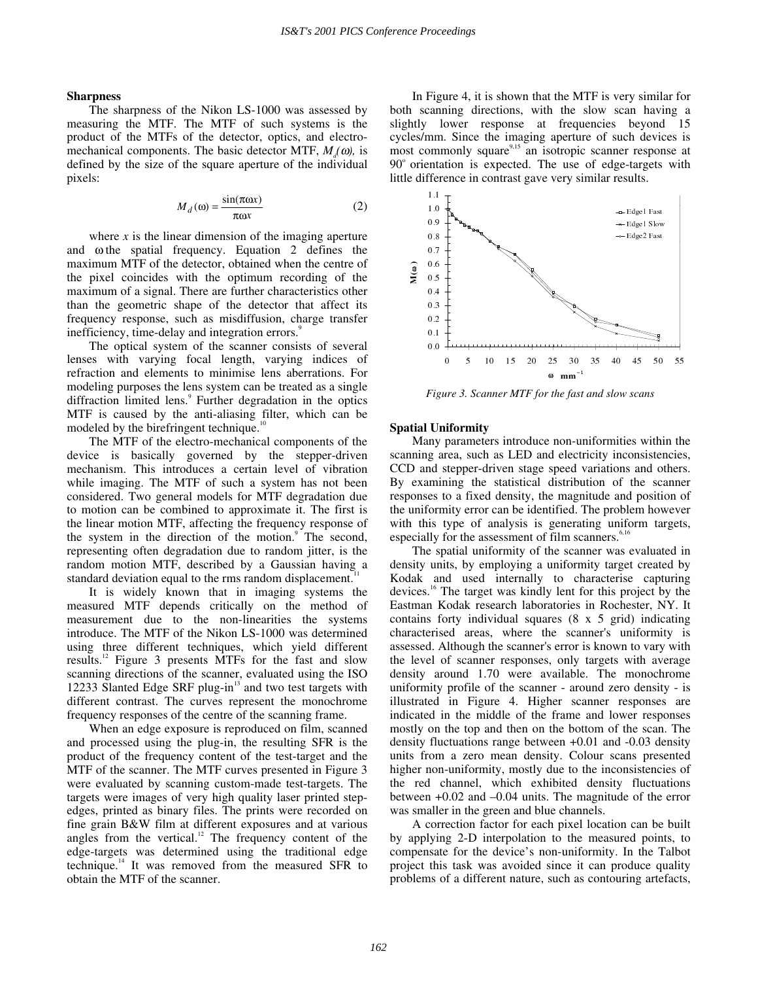#### **Sharpness**

 The sharpness of the Nikon LS-1000 was assessed by measuring the MTF. The MTF of such systems is the product of the MTFs of the detector, optics, and electromechanical components. The basic detector MTF,  $M<sub>x</sub>(\omega)$ , is defined by the size of the square aperture of the individual pixels:

$$
M_d(\omega) = \frac{\sin(\pi \omega x)}{\pi \omega x}
$$
 (2)

where  $x$  is the linear dimension of the imaging aperture and ω the spatial frequency. Equation 2 defines the maximum MTF of the detector, obtained when the centre of the pixel coincides with the optimum recording of the maximum of a signal. There are further characteristics other than the geometric shape of the detector that affect its frequency response, such as misdiffusion, charge transfer inefficiency, time-delay and integration errors.<sup>9</sup>

 The optical system of the scanner consists of several lenses with varying focal length, varying indices of refraction and elements to minimise lens aberrations. For modeling purposes the lens system can be treated as a single diffraction limited lens.<sup>9</sup> Further degradation in the optics MTF is caused by the anti-aliasing filter, which can be modeled by the birefringent technique.<sup>10</sup>

 The MTF of the electro-mechanical components of the device is basically governed by the stepper-driven mechanism. This introduces a certain level of vibration while imaging. The MTF of such a system has not been considered. Two general models for MTF degradation due to motion can be combined to approximate it. The first is the linear motion MTF, affecting the frequency response of the system in the direction of the motion.<sup>9</sup> The second, representing often degradation due to random jitter, is the random motion MTF, described by a Gaussian having a standard deviation equal to the rms random displacement.<sup>1</sup>

 It is widely known that in imaging systems the measured MTF depends critically on the method of measurement due to the non-linearities the systems introduce. The MTF of the Nikon LS-1000 was determined using three different techniques, which yield different results.12 Figure 3 presents MTFs for the fast and slow scanning directions of the scanner, evaluated using the ISO 12233 Slanted Edge SRF plug-in<sup>13</sup> and two test targets with different contrast. The curves represent the monochrome frequency responses of the centre of the scanning frame.

 When an edge exposure is reproduced on film, scanned and processed using the plug-in, the resulting SFR is the product of the frequency content of the test-target and the MTF of the scanner. The MTF curves presented in Figure 3 were evaluated by scanning custom-made test-targets. The targets were images of very high quality laser printed stepedges, printed as binary files. The prints were recorded on fine grain B&W film at different exposures and at various angles from the vertical. $12$  The frequency content of the edge-targets was determined using the traditional edge technique.14 It was removed from the measured SFR to obtain the MTF of the scanner.

 In Figure 4, it is shown that the MTF is very similar for both scanning directions, with the slow scan having a slightly lower response at frequencies beyond 15 cycles/mm. Since the imaging aperture of such devices is most commonly square $9,15$  an isotropic scanner response at 90° orientation is expected. The use of edge-targets with little difference in contrast gave very similar results.



*Figure 3. Scanner MTF for the fast and slow scans* 

#### **Spatial Uniformity**

 Many parameters introduce non-uniformities within the scanning area, such as LED and electricity inconsistencies, CCD and stepper-driven stage speed variations and others. By examining the statistical distribution of the scanner responses to a fixed density, the magnitude and position of the uniformity error can be identified. The problem however with this type of analysis is generating uniform targets, especially for the assessment of film scanners. $6,16$ 

 The spatial uniformity of the scanner was evaluated in density units, by employing a uniformity target created by Kodak and used internally to characterise capturing devices.16 The target was kindly lent for this project by the Eastman Kodak research laboratories in Rochester, NY. It contains forty individual squares (8 x 5 grid) indicating characterised areas, where the scanner's uniformity is assessed. Although the scanner's error is known to vary with the level of scanner responses, only targets with average density around 1.70 were available. The monochrome uniformity profile of the scanner - around zero density - is illustrated in Figure 4. Higher scanner responses are indicated in the middle of the frame and lower responses mostly on the top and then on the bottom of the scan. The density fluctuations range between +0.01 and -0.03 density units from a zero mean density. Colour scans presented higher non-uniformity, mostly due to the inconsistencies of the red channel, which exhibited density fluctuations between  $+0.02$  and  $-0.04$  units. The magnitude of the error was smaller in the green and blue channels.

 A correction factor for each pixel location can be built by applying 2-D interpolation to the measured points, to compensate for the device's non-uniformity. In the Talbot project this task was avoided since it can produce quality problems of a different nature, such as contouring artefacts,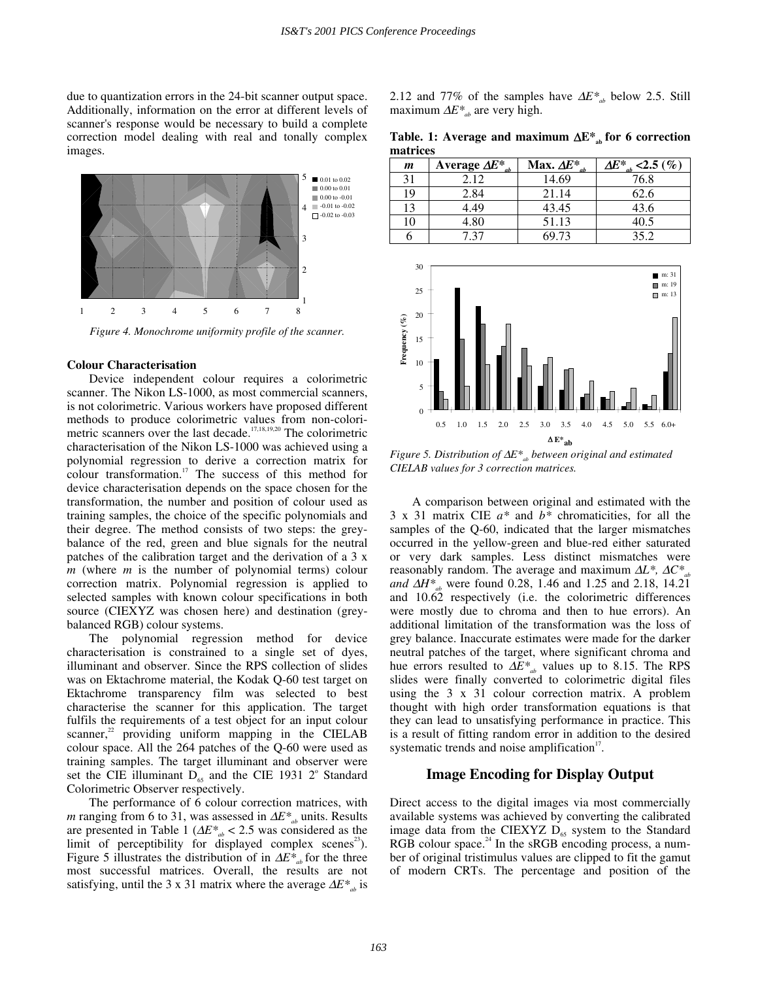due to quantization errors in the 24-bit scanner output space. Additionally, information on the error at different levels of scanner's response would be necessary to build a complete correction model dealing with real and tonally complex images.



*Figure 4. Monochrome uniformity profile of the scanner.* 

#### **Colour Characterisation**

 Device independent colour requires a colorimetric scanner. The Nikon LS-1000, as most commercial scanners, is not colorimetric. Various workers have proposed different methods to produce colorimetric values from non-colorimetric scanners over the last decade.<sup>17,18,19,20</sup> The colorimetric characterisation of the Nikon LS-1000 was achieved using a polynomial regression to derive a correction matrix for colour transformation.17 The success of this method for device characterisation depends on the space chosen for the transformation, the number and position of colour used as training samples, the choice of the specific polynomials and their degree. The method consists of two steps: the greybalance of the red, green and blue signals for the neutral patches of the calibration target and the derivation of a 3 x *m* (where *m* is the number of polynomial terms) colour correction matrix. Polynomial regression is applied to selected samples with known colour specifications in both source (CIEXYZ was chosen here) and destination (greybalanced RGB) colour systems.

 The polynomial regression method for device characterisation is constrained to a single set of dyes, illuminant and observer. Since the RPS collection of slides was on Ektachrome material, the Kodak Q-60 test target on Ektachrome transparency film was selected to best characterise the scanner for this application. The target fulfils the requirements of a test object for an input colour scanner, $2^2$  providing uniform mapping in the CIELAB colour space. All the 264 patches of the Q-60 were used as training samples. The target illuminant and observer were set the CIE illuminant  $D_{65}$  and the CIE 1931  $2^{\circ}$  Standard Colorimetric Observer respectively.

 The performance of 6 colour correction matrices, with *m* ranging from 6 to 31, was assessed in  $\Delta E^*$ <sub>ab</sub> units. Results are presented in Table 1 (∆*E\*ab* < 2.5 was considered as the limit of perceptibility for displayed complex scenes<sup>23</sup>). Figure 5 illustrates the distribution of in ∆*E\*ab* for the three most successful matrices. Overall, the results are not satisfying, until the 3 x 31 matrix where the average  $\Delta E^*$ <sub>ab</sub> is 2.12 and 77% of the samples have  $\Delta E^*$ <sub>ab</sub> below 2.5. Still maximum  $\Delta E^*$ <sub>ab</sub> are very high.

Table. 1: Average and maximum  $\Delta E^*$ <sub>ab</sub> for 6 correction **matrices** 

| m  | Average $\Delta E^*$ <sub>ab</sub> | Max. $\Delta E^*_{ab}$ | $\Delta\!E^*$ <sub>ab</sub> <2.5 (%) |
|----|------------------------------------|------------------------|--------------------------------------|
| 31 | 2.12                               | 14.69                  | 76.8                                 |
| 19 | 2.84                               | 21.14                  | 62.6                                 |
| 13 | 4.49                               | 43.45                  | 43.6                                 |
| 10 | 4.80                               | 51.13                  | 40.5                                 |
|    | 7 37                               | 69.73                  | 35.2                                 |



*Figure 5. Distribution of* ∆*E\**<sub>ab</sub> *between original and estimated CIELAB values for 3 correction matrices.* 

 A comparison between original and estimated with the 3 x 31 matrix CIE *a\** and *b\** chromaticities, for all the samples of the Q-60, indicated that the larger mismatches occurred in the yellow-green and blue-red either saturated or very dark samples. Less distinct mismatches were reasonably random. The average and maximum ∆*L\*,* ∆*C\*ab and ∆H\*<sub>ab</sub>* were found 0.28, 1.46 and 1.25 and 2.18, 14.21 and 10.62 respectively (i.e. the colorimetric differences were mostly due to chroma and then to hue errors). An additional limitation of the transformation was the loss of grey balance. Inaccurate estimates were made for the darker neutral patches of the target, where significant chroma and hue errors resulted to  $\Delta E^*$ <sub>ab</sub> values up to 8.15. The RPS slides were finally converted to colorimetric digital files using the 3 x 31 colour correction matrix. A problem thought with high order transformation equations is that they can lead to unsatisfying performance in practice. This is a result of fitting random error in addition to the desired systematic trends and noise amplification $17$ .

## **Image Encoding for Display Output**

Direct access to the digital images via most commercially available systems was achieved by converting the calibrated image data from the CIEXYZ  $D_{65}$  system to the Standard RGB colour space. $24$  In the sRGB encoding process, a number of original tristimulus values are clipped to fit the gamut of modern CRTs. The percentage and position of the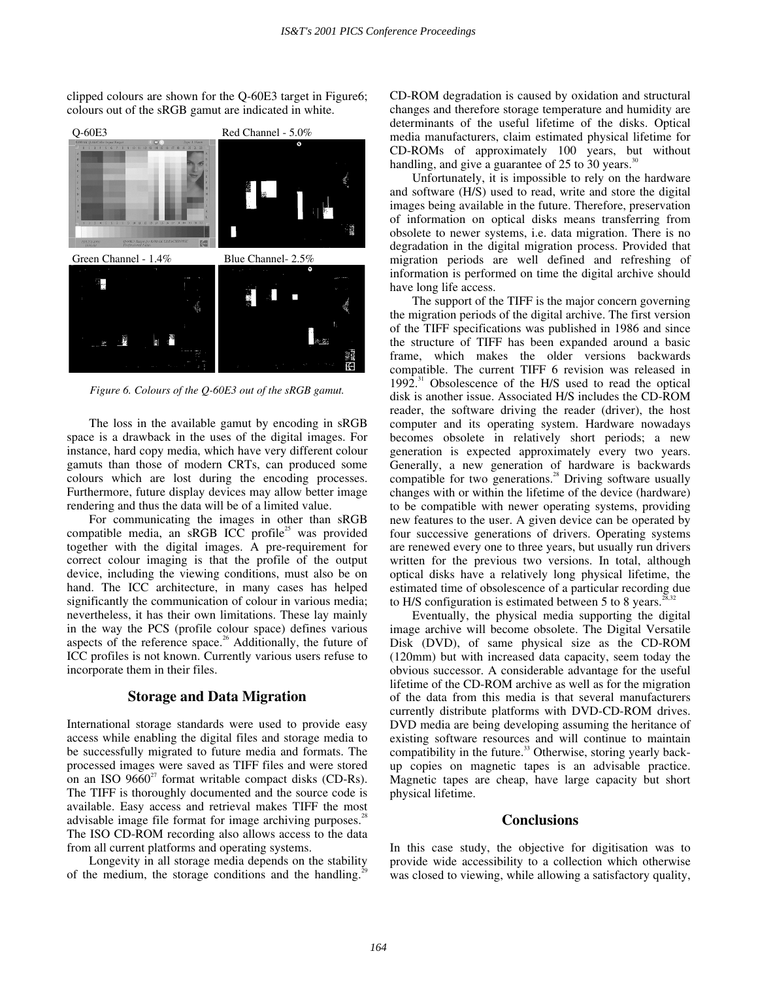clipped colours are shown for the Q-60E3 target in Figure6; colours out of the sRGB gamut are indicated in white.



*Figure 6. Colours of the Q-60E3 out of the sRGB gamut.* 

 The loss in the available gamut by encoding in sRGB space is a drawback in the uses of the digital images. For instance, hard copy media, which have very different colour gamuts than those of modern CRTs, can produced some colours which are lost during the encoding processes. Furthermore, future display devices may allow better image rendering and thus the data will be of a limited value.

 For communicating the images in other than sRGB compatible media, an  $sRGB$  ICC profile<sup>25</sup> was provided together with the digital images. A pre-requirement for correct colour imaging is that the profile of the output device, including the viewing conditions, must also be on hand. The ICC architecture, in many cases has helped significantly the communication of colour in various media; nevertheless, it has their own limitations. These lay mainly in the way the PCS (profile colour space) defines various aspects of the reference space.<sup>26</sup> Additionally, the future of ICC profiles is not known. Currently various users refuse to incorporate them in their files.

## **Storage and Data Migration**

International storage standards were used to provide easy access while enabling the digital files and storage media to be successfully migrated to future media and formats. The processed images were saved as TIFF files and were stored on an ISO  $9660^2$  format writable compact disks (CD-Rs). The TIFF is thoroughly documented and the source code is available. Easy access and retrieval makes TIFF the most advisable image file format for image archiving purposes.<sup>28</sup> The ISO CD-ROM recording also allows access to the data from all current platforms and operating systems.

 Longevity in all storage media depends on the stability of the medium, the storage conditions and the handling.

CD-ROM degradation is caused by oxidation and structural changes and therefore storage temperature and humidity are determinants of the useful lifetime of the disks. Optical media manufacturers, claim estimated physical lifetime for CD-ROMs of approximately 100 years, but without handling, and give a guarantee of  $25$  to  $30$  years.<sup>30</sup>

 Unfortunately, it is impossible to rely on the hardware and software (H/S) used to read, write and store the digital images being available in the future. Therefore, preservation of information on optical disks means transferring from obsolete to newer systems, i.e. data migration. There is no degradation in the digital migration process. Provided that migration periods are well defined and refreshing of information is performed on time the digital archive should have long life access.

 The support of the TIFF is the major concern governing the migration periods of the digital archive. The first version of the TIFF specifications was published in 1986 and since the structure of TIFF has been expanded around a basic frame, which makes the older versions backwards compatible. The current TIFF 6 revision was released in 1992. $31$  Obsolescence of the H/S used to read the optical disk is another issue. Associated H/S includes the CD-ROM reader, the software driving the reader (driver), the host computer and its operating system. Hardware nowadays becomes obsolete in relatively short periods; a new generation is expected approximately every two years. Generally, a new generation of hardware is backwards compatible for two generations.<sup>28</sup> Driving software usually changes with or within the lifetime of the device (hardware) to be compatible with newer operating systems, providing new features to the user. A given device can be operated by four successive generations of drivers. Operating systems are renewed every one to three years, but usually run drivers written for the previous two versions. In total, although optical disks have a relatively long physical lifetime, the estimated time of obsolescence of a particular recording due to H/S configuration is estimated between 5 to 8 years.<sup>28</sup>

Eventually, the physical media supporting the digital image archive will become obsolete. The Digital Versatile Disk (DVD), of same physical size as the CD-ROM (120mm) but with increased data capacity, seem today the obvious successor. A considerable advantage for the useful lifetime of the CD-ROM archive as well as for the migration of the data from this media is that several manufacturers currently distribute platforms with DVD-CD-ROM drives. DVD media are being developing assuming the heritance of existing software resources and will continue to maintain compatibility in the future.<sup>33</sup> Otherwise, storing yearly backup copies on magnetic tapes is an advisable practice. Magnetic tapes are cheap, have large capacity but short physical lifetime.

# **Conclusions**

In this case study, the objective for digitisation was to provide wide accessibility to a collection which otherwise was closed to viewing, while allowing a satisfactory quality,